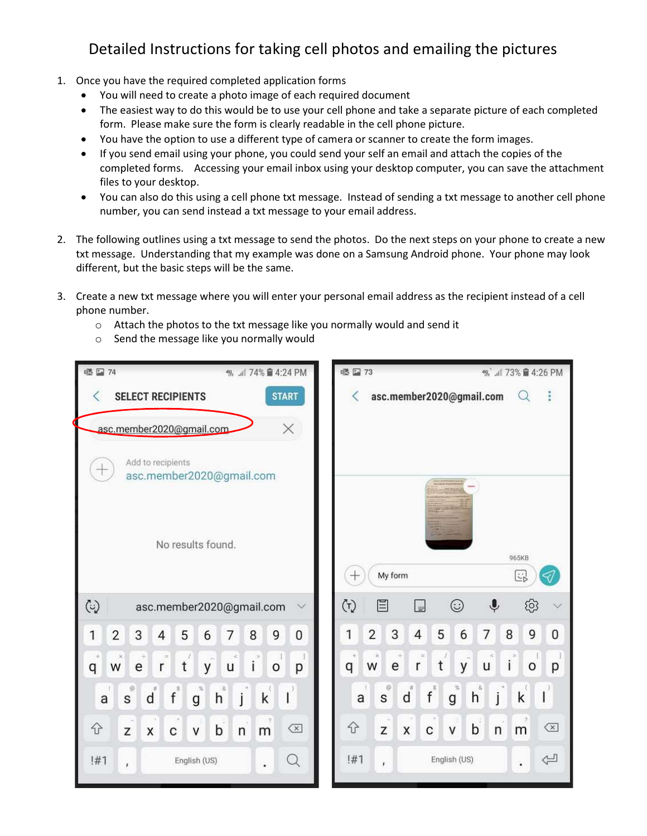## Detailed Instructions for taking cell photos and emailing the pictures

- 1. Once you have the required completed application forms
	- You will need to create a photo image of each required document
	- The easiest way to do this would be to use your cell phone and take a separate picture of each completed form. Please make sure the form is clearly readable in the cell phone picture.
	- You have the option to use a different type of camera or scanner to create the form images.
	- If you send email using your phone, you could send your self an email and attach the copies of the completed forms. Accessing your email inbox using your desktop computer, you can save the attachment files to your desktop.
	- You can also do this using a cell phone txt message. Instead of sending a txt message to another cell phone number, you can send instead a txt message to your email address.
- 2. The following outlines using a txt message to send the photos. Do the next steps on your phone to create a new txt message. Understanding that my example was done on a Samsung Android phone. Your phone may look different, but the basic steps will be the same.
- 3. Create a new txt message where you will enter your personal email address as the recipient instead of a cell phone number.
	- o Attach the photos to the txt message like you normally would and send it
	- o Send the message like you normally would